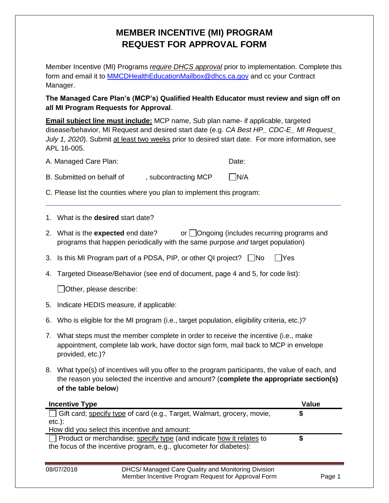## **MEMBER INCENTIVE (MI) PROGRAM REQUEST FOR APPROVAL FORM**

Member Incentive (MI) Programs *require DHCS approval* prior to implementation. Complete this form and email it to **MMCDHealthEducationMailbox@dhcs.ca.gov** and cc your Contract Manager.

## **The Managed Care Plan's (MCP's) Qualified Health Educator must review and sign off on all MI Program Requests for Approval**.

| alı mi Program Requests for Approval.                                                                                                                                                                                                                                                                  |                                                                                                                                                                                                                   |  |  |  |  |  |  |  |
|--------------------------------------------------------------------------------------------------------------------------------------------------------------------------------------------------------------------------------------------------------------------------------------------------------|-------------------------------------------------------------------------------------------------------------------------------------------------------------------------------------------------------------------|--|--|--|--|--|--|--|
| <b>Email subject line must include:</b> MCP name, Sub plan name- if applicable, targeted<br>disease/behavior, MI Request and desired start date (e.g. CA Best HP_ CDC-E_ MI Request_<br>July 1, 2020). Submit at least two weeks prior to desired start date. For more information, see<br>APL 16-005. |                                                                                                                                                                                                                   |  |  |  |  |  |  |  |
|                                                                                                                                                                                                                                                                                                        | A. Managed Care Plan:<br>Date:                                                                                                                                                                                    |  |  |  |  |  |  |  |
|                                                                                                                                                                                                                                                                                                        | $\n  N/A\n$<br>B. Submitted on behalf of<br>, subcontracting MCP                                                                                                                                                  |  |  |  |  |  |  |  |
|                                                                                                                                                                                                                                                                                                        | C. Please list the counties where you plan to implement this program:                                                                                                                                             |  |  |  |  |  |  |  |
|                                                                                                                                                                                                                                                                                                        | 1. What is the desired start date?                                                                                                                                                                                |  |  |  |  |  |  |  |
|                                                                                                                                                                                                                                                                                                        | 2. What is the expected end date?<br>or Ongoing (includes recurring programs and<br>programs that happen periodically with the same purpose and target population)                                                |  |  |  |  |  |  |  |
|                                                                                                                                                                                                                                                                                                        | 3. Is this MI Program part of a PDSA, PIP, or other QI project? $\Box$ No<br>$\exists$ Yes                                                                                                                        |  |  |  |  |  |  |  |
|                                                                                                                                                                                                                                                                                                        | 4. Targeted Disease/Behavior (see end of document, page 4 and 5, for code list):                                                                                                                                  |  |  |  |  |  |  |  |
|                                                                                                                                                                                                                                                                                                        | Other, please describe:                                                                                                                                                                                           |  |  |  |  |  |  |  |
| 5.                                                                                                                                                                                                                                                                                                     | Indicate HEDIS measure, if applicable:                                                                                                                                                                            |  |  |  |  |  |  |  |
| 6.                                                                                                                                                                                                                                                                                                     | Who is eligible for the MI program (i.e., target population, eligibility criteria, etc.)?                                                                                                                         |  |  |  |  |  |  |  |
|                                                                                                                                                                                                                                                                                                        | 7. What steps must the member complete in order to receive the incentive (i.e., make<br>appointment, complete lab work, have doctor sign form, mail back to MCP in envelope<br>provided, etc.)?                   |  |  |  |  |  |  |  |
|                                                                                                                                                                                                                                                                                                        | 8. What type(s) of incentives will you offer to the program participants, the value of each, and<br>the reason you selected the incentive and amount? (complete the appropriate section(s)<br>of the table below) |  |  |  |  |  |  |  |
|                                                                                                                                                                                                                                                                                                        | <b>Value</b><br><b>Incentive Type</b>                                                                                                                                                                             |  |  |  |  |  |  |  |
|                                                                                                                                                                                                                                                                                                        | Gift card; specify type of card (e.g., Target, Walmart, grocery, movie,<br>\$                                                                                                                                     |  |  |  |  |  |  |  |
|                                                                                                                                                                                                                                                                                                        | $etc.$ ):<br>How did you select this incentive and amount:                                                                                                                                                        |  |  |  |  |  |  |  |
|                                                                                                                                                                                                                                                                                                        | \$<br>Product or merchandise; specify type (and indicate how it relates to<br>the focus of the incentive program, e.g., glucometer for diabetes):                                                                 |  |  |  |  |  |  |  |

08/07/2018 DHCS/ Managed Care Quality and Monitoring Division Member Incentive Program Request for Approval Form Page 1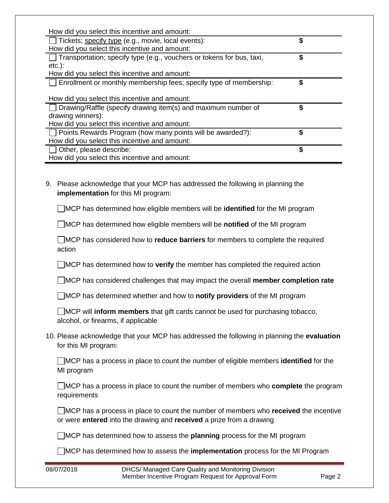| How did you select this incentive and amount:<br>\$<br>Transportation; specify type (e.g., vouchers or tokens for bus, taxi,<br>$etc.$ ):<br>How did you select this incentive and amount:<br>\$<br>Enrollment or monthly membership fees; specify type of membership:<br>How did you select this incentive and amount:<br>\$<br>Drawing/Raffle (specify drawing item(s) and maximum number of<br>drawing winners):<br>How did you select this incentive and amount:<br>\$<br>Points Rewards Program (how many points will be awarded?):<br>How did you select this incentive and amount:<br>\$<br>Other, please describe:<br>How did you select this incentive and amount:<br>Please acknowledge that your MCP has addressed the following in planning the<br><b>implementation</b> for this MI program: | How did you select this incentive and amount:<br>Tickets; specify type (e.g., movie, local events): | \$ |
|-----------------------------------------------------------------------------------------------------------------------------------------------------------------------------------------------------------------------------------------------------------------------------------------------------------------------------------------------------------------------------------------------------------------------------------------------------------------------------------------------------------------------------------------------------------------------------------------------------------------------------------------------------------------------------------------------------------------------------------------------------------------------------------------------------------|-----------------------------------------------------------------------------------------------------|----|
|                                                                                                                                                                                                                                                                                                                                                                                                                                                                                                                                                                                                                                                                                                                                                                                                           |                                                                                                     |    |
|                                                                                                                                                                                                                                                                                                                                                                                                                                                                                                                                                                                                                                                                                                                                                                                                           |                                                                                                     |    |
|                                                                                                                                                                                                                                                                                                                                                                                                                                                                                                                                                                                                                                                                                                                                                                                                           |                                                                                                     |    |
|                                                                                                                                                                                                                                                                                                                                                                                                                                                                                                                                                                                                                                                                                                                                                                                                           |                                                                                                     |    |
|                                                                                                                                                                                                                                                                                                                                                                                                                                                                                                                                                                                                                                                                                                                                                                                                           |                                                                                                     |    |
|                                                                                                                                                                                                                                                                                                                                                                                                                                                                                                                                                                                                                                                                                                                                                                                                           |                                                                                                     |    |
|                                                                                                                                                                                                                                                                                                                                                                                                                                                                                                                                                                                                                                                                                                                                                                                                           |                                                                                                     |    |
|                                                                                                                                                                                                                                                                                                                                                                                                                                                                                                                                                                                                                                                                                                                                                                                                           |                                                                                                     |    |
|                                                                                                                                                                                                                                                                                                                                                                                                                                                                                                                                                                                                                                                                                                                                                                                                           |                                                                                                     |    |
|                                                                                                                                                                                                                                                                                                                                                                                                                                                                                                                                                                                                                                                                                                                                                                                                           |                                                                                                     |    |
|                                                                                                                                                                                                                                                                                                                                                                                                                                                                                                                                                                                                                                                                                                                                                                                                           |                                                                                                     |    |
|                                                                                                                                                                                                                                                                                                                                                                                                                                                                                                                                                                                                                                                                                                                                                                                                           |                                                                                                     |    |
|                                                                                                                                                                                                                                                                                                                                                                                                                                                                                                                                                                                                                                                                                                                                                                                                           |                                                                                                     |    |
|                                                                                                                                                                                                                                                                                                                                                                                                                                                                                                                                                                                                                                                                                                                                                                                                           |                                                                                                     |    |
|                                                                                                                                                                                                                                                                                                                                                                                                                                                                                                                                                                                                                                                                                                                                                                                                           |                                                                                                     |    |
|                                                                                                                                                                                                                                                                                                                                                                                                                                                                                                                                                                                                                                                                                                                                                                                                           |                                                                                                     |    |
|                                                                                                                                                                                                                                                                                                                                                                                                                                                                                                                                                                                                                                                                                                                                                                                                           | 9.                                                                                                  |    |
|                                                                                                                                                                                                                                                                                                                                                                                                                                                                                                                                                                                                                                                                                                                                                                                                           |                                                                                                     |    |
|                                                                                                                                                                                                                                                                                                                                                                                                                                                                                                                                                                                                                                                                                                                                                                                                           |                                                                                                     |    |

MCP has determined how eligible members will be **identified** for the MI program

MCP has determined how eligible members will be **notified** of the MI program

MCP has considered how to **reduce barriers** for members to complete the required action

MCP has determined how to **verify** the member has completed the required action

MCP has considered challenges that may impact the overall **member completion rate**

MCP has determined whether and how to **notify providers** of the MI program

|                                     |  | MCP will inform members that gift cards cannot be used for purchasing tobacco, |  |  |
|-------------------------------------|--|--------------------------------------------------------------------------------|--|--|
| alcohol, or firearms, if applicable |  |                                                                                |  |  |

10. Please acknowledge that your MCP has addressed the following in planning the **evaluation** for this MI program:

MCP has a process in place to count the number of eligible members **identified** for the MI program

MCP has a process in place to count the number of members who **complete** the program requirements

MCP has a process in place to count the number of members who **received** the incentive or were **entered** into the drawing and **received** a prize from a drawing

MCP has determined how to assess the **planning** process for the MI program

MCP has determined how to assess the **implementation** process for the MI Program